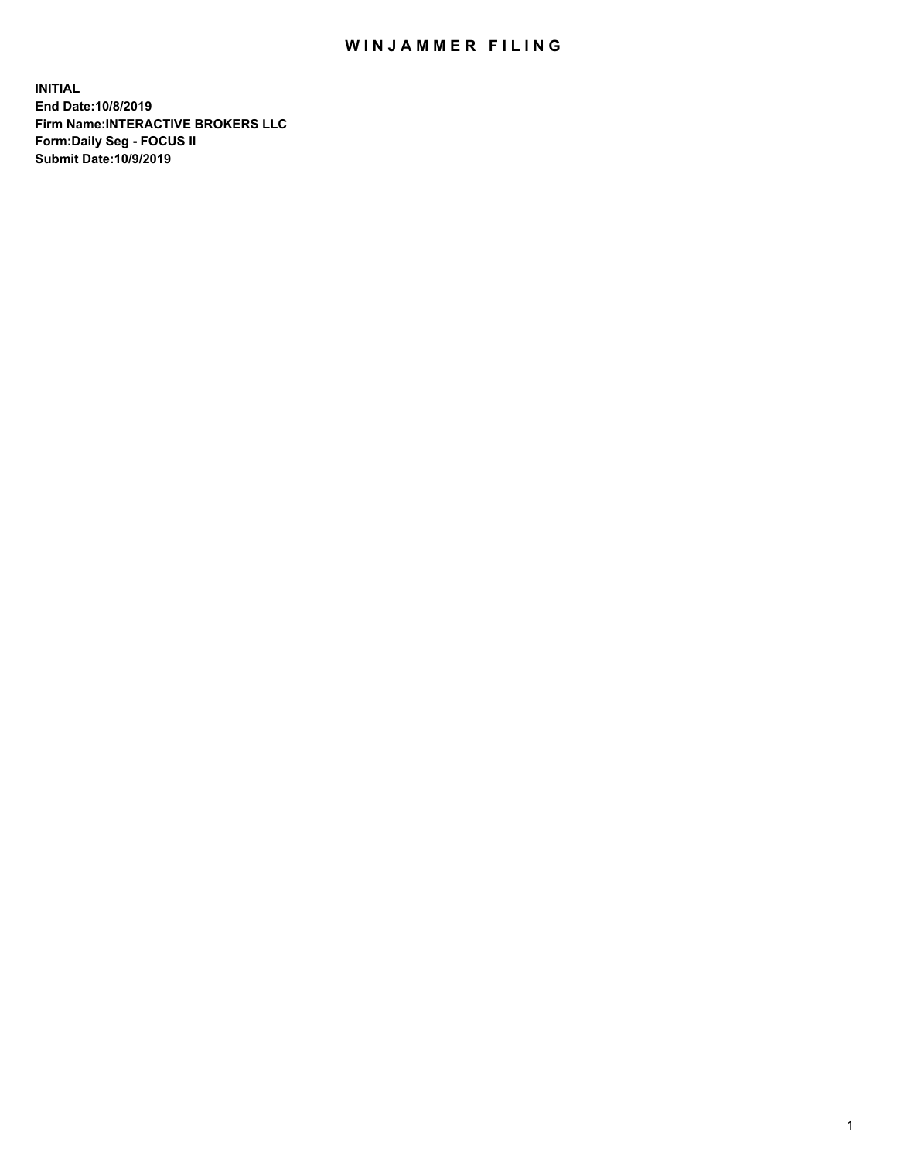## WIN JAMMER FILING

**INITIAL End Date:10/8/2019 Firm Name:INTERACTIVE BROKERS LLC Form:Daily Seg - FOCUS II Submit Date:10/9/2019**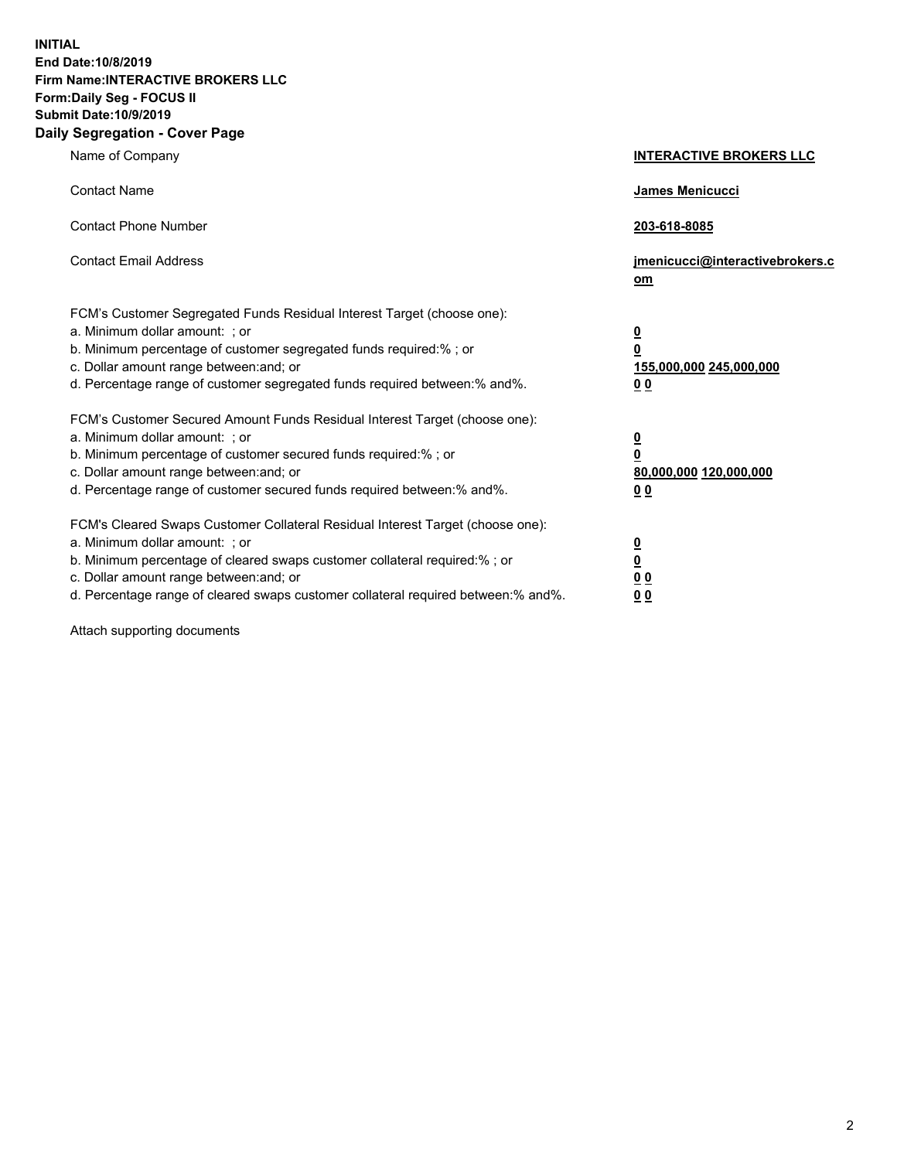**INITIAL End Date:10/8/2019 Firm Name:INTERACTIVE BROKERS LLC Form:Daily Seg - FOCUS II Submit Date:10/9/2019 Daily Segregation - Cover Page**

| Name of Company                                                                                                                                                                                                                                                                                                                | <b>INTERACTIVE BROKERS LLC</b>                                                                  |
|--------------------------------------------------------------------------------------------------------------------------------------------------------------------------------------------------------------------------------------------------------------------------------------------------------------------------------|-------------------------------------------------------------------------------------------------|
| <b>Contact Name</b>                                                                                                                                                                                                                                                                                                            | James Menicucci                                                                                 |
| <b>Contact Phone Number</b>                                                                                                                                                                                                                                                                                                    | 203-618-8085                                                                                    |
| <b>Contact Email Address</b>                                                                                                                                                                                                                                                                                                   | jmenicucci@interactivebrokers.c<br>om                                                           |
| FCM's Customer Segregated Funds Residual Interest Target (choose one):<br>a. Minimum dollar amount: ; or<br>b. Minimum percentage of customer segregated funds required:% ; or<br>c. Dollar amount range between: and; or<br>d. Percentage range of customer segregated funds required between:% and%.                         | $\overline{\mathbf{0}}$<br>$\overline{\mathbf{0}}$<br>155,000,000 245,000,000<br>0 <sub>0</sub> |
| FCM's Customer Secured Amount Funds Residual Interest Target (choose one):<br>a. Minimum dollar amount: ; or<br>b. Minimum percentage of customer secured funds required:% ; or<br>c. Dollar amount range between: and; or<br>d. Percentage range of customer secured funds required between:% and%.                           | $\overline{\mathbf{0}}$<br>0<br>80,000,000 120,000,000<br>0 <sub>0</sub>                        |
| FCM's Cleared Swaps Customer Collateral Residual Interest Target (choose one):<br>a. Minimum dollar amount: ; or<br>b. Minimum percentage of cleared swaps customer collateral required:% ; or<br>c. Dollar amount range between: and; or<br>d. Percentage range of cleared swaps customer collateral required between:% and%. | $\overline{\mathbf{0}}$<br><u>0</u><br>$\underline{0}$ $\underline{0}$<br>00                    |

Attach supporting documents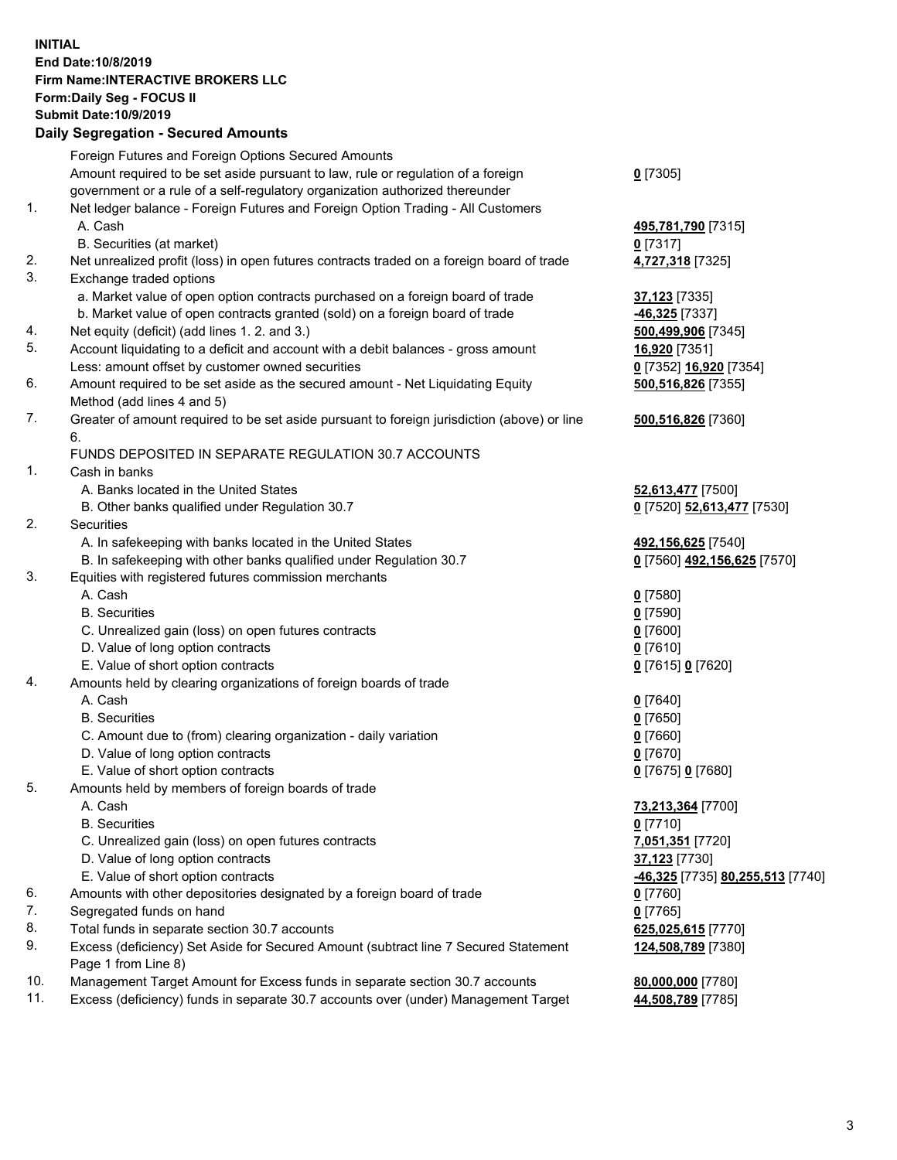## **INITIAL End Date:10/8/2019 Firm Name:INTERACTIVE BROKERS LLC Form:Daily Seg - FOCUS II Submit Date:10/9/2019 Daily Segregation - Secured Amounts**

|     | Foreign Futures and Foreign Options Secured Amounts                                                        |                                                            |
|-----|------------------------------------------------------------------------------------------------------------|------------------------------------------------------------|
|     | Amount required to be set aside pursuant to law, rule or regulation of a foreign                           | $0$ [7305]                                                 |
|     | government or a rule of a self-regulatory organization authorized thereunder                               |                                                            |
| 1.  | Net ledger balance - Foreign Futures and Foreign Option Trading - All Customers                            |                                                            |
|     | A. Cash                                                                                                    | 495,781,790 [7315]                                         |
|     | B. Securities (at market)                                                                                  | $0$ [7317]                                                 |
| 2.  | Net unrealized profit (loss) in open futures contracts traded on a foreign board of trade                  | 4,727,318 [7325]                                           |
| 3.  | Exchange traded options                                                                                    |                                                            |
|     | a. Market value of open option contracts purchased on a foreign board of trade                             | 37,123 [7335]                                              |
|     | b. Market value of open contracts granted (sold) on a foreign board of trade                               | -46,325 [7337]                                             |
| 4.  | Net equity (deficit) (add lines 1.2. and 3.)                                                               | 500,499,906 [7345]                                         |
| 5.  | Account liquidating to a deficit and account with a debit balances - gross amount                          | 16,920 [7351]                                              |
|     | Less: amount offset by customer owned securities                                                           | 0 [7352] 16,920 [7354]                                     |
| 6.  | Amount required to be set aside as the secured amount - Net Liquidating Equity                             | 500,516,826 [7355]                                         |
|     | Method (add lines 4 and 5)                                                                                 |                                                            |
| 7.  | Greater of amount required to be set aside pursuant to foreign jurisdiction (above) or line<br>6.          | 500,516,826 [7360]                                         |
|     | FUNDS DEPOSITED IN SEPARATE REGULATION 30.7 ACCOUNTS                                                       |                                                            |
| 1.  | Cash in banks                                                                                              |                                                            |
|     | A. Banks located in the United States                                                                      | 52,613,477 [7500]                                          |
|     | B. Other banks qualified under Regulation 30.7                                                             | 0 [7520] 52,613,477 [7530]                                 |
| 2.  | Securities                                                                                                 |                                                            |
|     | A. In safekeeping with banks located in the United States                                                  | 492,156,625 [7540]                                         |
|     | B. In safekeeping with other banks qualified under Regulation 30.7                                         | 0 [7560] 492,156,625 [7570]                                |
| 3.  | Equities with registered futures commission merchants                                                      |                                                            |
|     | A. Cash                                                                                                    | $0$ [7580]                                                 |
|     | <b>B.</b> Securities                                                                                       | $0$ [7590]                                                 |
|     | C. Unrealized gain (loss) on open futures contracts                                                        | $0$ [7600]                                                 |
|     | D. Value of long option contracts                                                                          | $0$ [7610]                                                 |
|     | E. Value of short option contracts                                                                         | 0 [7615] 0 [7620]                                          |
| 4.  | Amounts held by clearing organizations of foreign boards of trade                                          |                                                            |
|     | A. Cash                                                                                                    | $0$ [7640]                                                 |
|     | <b>B.</b> Securities                                                                                       | $0$ [7650]                                                 |
|     | C. Amount due to (from) clearing organization - daily variation                                            | $0$ [7660]                                                 |
|     | D. Value of long option contracts                                                                          | $0$ [7670]                                                 |
|     | E. Value of short option contracts                                                                         | 0 [7675] 0 [7680]                                          |
| 5.  | Amounts held by members of foreign boards of trade                                                         |                                                            |
|     | A. Cash                                                                                                    | 73,213,364 [7700]                                          |
|     | <b>B.</b> Securities                                                                                       | $0$ [7710]                                                 |
|     | C. Unrealized gain (loss) on open futures contracts                                                        | 7,051,351 [7720]                                           |
|     | D. Value of long option contracts                                                                          | 37,123 [7730]                                              |
|     | E. Value of short option contracts                                                                         | <mark>-46,325</mark> [7735] <mark>80,255,513</mark> [7740] |
| 6.  | Amounts with other depositories designated by a foreign board of trade                                     | $0$ [7760]                                                 |
| 7.  | Segregated funds on hand                                                                                   | $0$ [7765]                                                 |
| 8.  | Total funds in separate section 30.7 accounts                                                              | 625,025,615 [7770]                                         |
| 9.  | Excess (deficiency) Set Aside for Secured Amount (subtract line 7 Secured Statement<br>Page 1 from Line 8) | 124,508,789 [7380]                                         |
| 10. | Management Target Amount for Excess funds in separate section 30.7 accounts                                | 80,000,000 [7780]                                          |
| 11. | Excess (deficiency) funds in separate 30.7 accounts over (under) Management Target                         | 44,508,789 [7785]                                          |
|     |                                                                                                            |                                                            |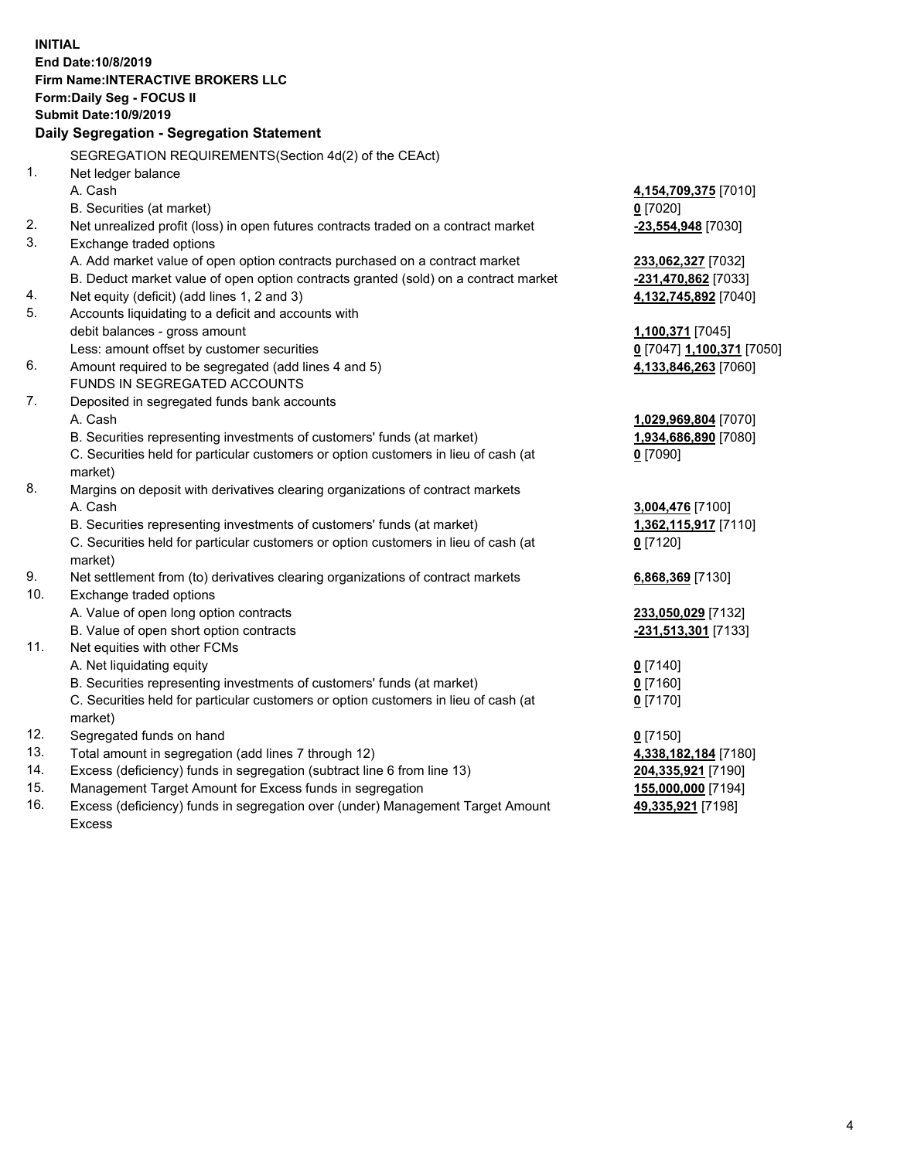**INITIAL End Date:10/8/2019 Firm Name:INTERACTIVE BROKERS LLC Form:Daily Seg - FOCUS II Submit Date:10/9/2019 Daily Segregation - Segregation Statement** SEGREGATION REQUIREMENTS(Section 4d(2) of the CEAct) 1. Net ledger balance A. Cash **4,154,709,375** [7010] B. Securities (at market) **0** [7020] 2. Net unrealized profit (loss) in open futures contracts traded on a contract market **-23,554,948** [7030] 3. Exchange traded options A. Add market value of open option contracts purchased on a contract market **233,062,327** [7032] B. Deduct market value of open option contracts granted (sold) on a contract market **-231,470,862** [7033] 4. Net equity (deficit) (add lines 1, 2 and 3) **4,132,745,892** [7040] 5. Accounts liquidating to a deficit and accounts with debit balances - gross amount **1,100,371** [7045] Less: amount offset by customer securities **0** [7047] **1,100,371** [7050] 6. Amount required to be segregated (add lines 4 and 5) **4,133,846,263** [7060] FUNDS IN SEGREGATED ACCOUNTS 7. Deposited in segregated funds bank accounts A. Cash **1,029,969,804** [7070] B. Securities representing investments of customers' funds (at market) **1,934,686,890** [7080] C. Securities held for particular customers or option customers in lieu of cash (at market) **0** [7090] 8. Margins on deposit with derivatives clearing organizations of contract markets A. Cash **3,004,476** [7100] B. Securities representing investments of customers' funds (at market) **1,362,115,917** [7110] C. Securities held for particular customers or option customers in lieu of cash (at market) **0** [7120] 9. Net settlement from (to) derivatives clearing organizations of contract markets **6,868,369** [7130] 10. Exchange traded options A. Value of open long option contracts **233,050,029** [7132] B. Value of open short option contracts **-231,513,301** [7133] 11. Net equities with other FCMs A. Net liquidating equity **0** [7140] B. Securities representing investments of customers' funds (at market) **0** [7160] C. Securities held for particular customers or option customers in lieu of cash (at market) **0** [7170] 12. Segregated funds on hand **0** [7150] 13. Total amount in segregation (add lines 7 through 12) **4,338,182,184** [7180] 14. Excess (deficiency) funds in segregation (subtract line 6 from line 13) **204,335,921** [7190] 15. Management Target Amount for Excess funds in segregation **155,000,000** [7194] **49,335,921** [7198]

16. Excess (deficiency) funds in segregation over (under) Management Target Amount Excess